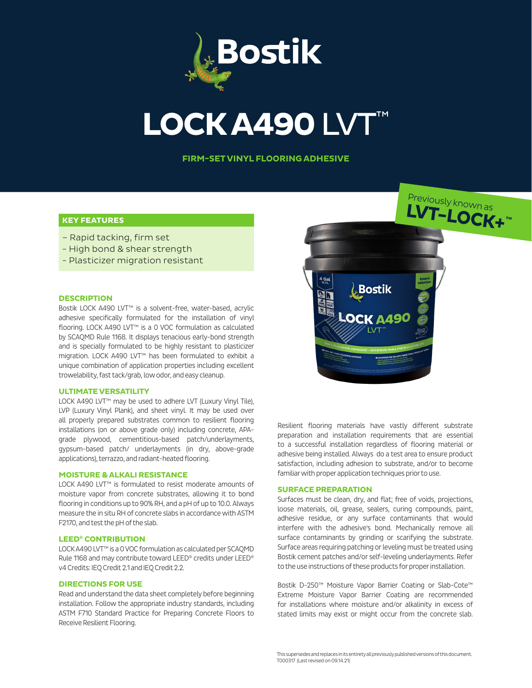

# **LOCK A490 LVT**

**FIRM-SET VINYL FLOORING ADHESIVE**

# **KEY FEATURES**

- Rapid tacking, firm set
- High bond & shear strength
- Plasticizer migration resistant

# **DESCRIPTION**

Bostik LOCK A490 LVT™ is a solvent-free, water-based, acrylic adhesive specifically formulated for the installation of vinyl flooring. LOCK A490 LVT™ is a 0 VOC formulation as calculated by SCAQMD Rule 1168. It displays tenacious early-bond strength and is specially formulated to be highly resistant to plasticizer migration. LOCK A490 LVT™ has been formulated to exhibit a unique combination of application properties including excellent trowelability, fast tack/grab, low odor, and easy cleanup.

# **ULTIMATE VERSATILITY**

LOCK A490 LVT™ may be used to adhere LVT (Luxury Vinyl Tile), LVP (Luxury Vinyl Plank), and sheet vinyl. It may be used over all properly prepared substrates common to resilient flooring installations (on or above grade only) including concrete, APAgrade plywood, cementitious-based patch/underlayments, gypsum-based patch/ underlayments (in dry, above-grade applications), terrazzo, and radiant-heated flooring.

#### **MOISTURE & ALKALI RESISTANCE**

LOCK A490 LVT™ is formulated to resist moderate amounts of moisture vapor from concrete substrates, allowing it to bond flooring in conditions up to 90% RH, and a pH of up to 10.0. Always measure the in situ RH of concrete slabs in accordance with ASTM F2170, and test the pH of the slab.

# **LEED® CONTRIBUTION**

LOCK A490 LVT™ is a 0 VOC formulation as calculated per SCAQMD Rule 1168 and may contribute toward LEED® credits under LEED® v4 Credits: IEQ Credit 2.1 and IEQ Credit 2.2.

#### **DIRECTIONS FOR USE**

Read and understand the data sheet completely before beginning installation. Follow the appropriate industry standards, including ASTM F710 Standard Practice for Preparing Concrete Floors to Receive Resilient Flooring.



Previously known as

Resilient flooring materials have vastly different substrate preparation and installation requirements that are essential to a successful installation regardless of flooring material or adhesive being installed. Always do a test area to ensure product satisfaction, including adhesion to substrate, and/or to become familiar with proper application techniques prior to use.

#### **SURFACE PREPARATION**

Surfaces must be clean, dry, and flat; free of voids, projections, loose materials, oil, grease, sealers, curing compounds, paint, adhesive residue, or any surface contaminants that would interfere with the adhesive's bond. Mechanically remove all surface contaminants by grinding or scarifying the substrate. Surface areas requiring patching or leveling must be treated using Bostik cement patches and/or self-leveling underlayments. Refer to the use instructions of these products for proper installation.

Bostik D-250™ Moisture Vapor Barrier Coating or Slab-Cote™ Extreme Moisture Vapor Barrier Coating are recommended for installations where moisture and/or alkalinity in excess of stated limits may exist or might occur from the concrete slab.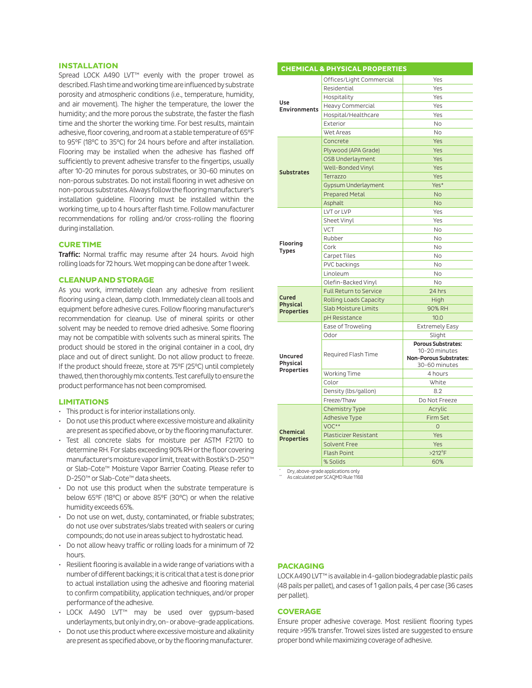# **INSTALLATION**

Spread LOCK A490 LVT<sup>™</sup> evenly with the proper trowel as described. Flash time and working time are influenced by substrate porosity and atmospheric conditions (i.e., temperature, humidity, and air movement). The higher the temperature, the lower the humidity; and the more porous the substrate, the faster the flash time and the shorter the working time. For best results, maintain adhesive, floor covering, and room at a stable temperature of 65°F to 95°F (18°C to 35°C) for 24 hours before and after installation. Flooring may be installed when the adhesive has flashed off sufficiently to prevent adhesive transfer to the fingertips, usually after 10-20 minutes for porous substrates, or 30-60 minutes on non-porous substrates. Do not install flooring in wet adhesive on non-porous substrates. Always follow the flooring manufacturer's installation guideline. Flooring must be installed within the working time, up to 4 hours after flash time. Follow manufacturer recommendations for rolling and/or cross-rolling the flooring during installation.

#### **CURE TIME**

Traffic: Normal traffic may resume after 24 hours. Avoid high rolling loads for 72 hours. Wet mopping can be done after 1 week.

#### **CLEANUP AND STORAGE**

As you work, immediately clean any adhesive from resilient flooring using a clean, damp cloth. Immediately clean all tools and equipment before adhesive cures. Follow flooring manufacturer's recommendation for cleanup. Use of mineral spirits or other solvent may be needed to remove dried adhesive. Some flooring may not be compatible with solvents such as mineral spirits. The product should be stored in the original container in a cool, dry place and out of direct sunlight. Do not allow product to freeze. If the product should freeze, store at 75°F (25°C) until completely thawed, then thoroughly mix contents. Test carefully to ensure the product performance has not been compromised.

# **LIMITATIONS**

- This product is for interior installations only.
- Do not use this product where excessive moisture and alkalinity are present as specified above, or by the flooring manufacturer.
- Test all concrete slabs for moisture per ASTM F2170 to determine RH. For slabs exceeding 90% RH or the floor covering manufacturer's moisture vapor limit, treat with Bostik's D-250™ or Slab-Cote™ Moisture Vapor Barrier Coating. Please refer to D-250™ or Slab-Cote™ data sheets.
- Do not use this product when the substrate temperature is below 65°F (18°C) or above 85°F (30°C) or when the relative humidity exceeds 65%.
- Do not use on wet, dusty, contaminated, or friable substrates; do not use over substrates/slabs treated with sealers or curing compounds; do not use in areas subject to hydrostatic head.
- Do not allow heavy traffic or rolling loads for a minimum of 72 hours.
- Resilient flooring is available in a wide range of variations with a number of different backings; it is critical that a test is done prior to actual installation using the adhesive and flooring material to confirm compatibility, application techniques, and/or proper performance of the adhesive.
- LOCK A490 LVT™ may be used over gypsum-based underlayments, but only in dry, on- or above-grade applications.
- Do not use this product where excessive moisture and alkalinity are present as specified above, or by the flooring manufacturer.

| <b>CHEMICAL &amp; PHYSICAL PROPERTIES</b>     |                               |                                                                                              |
|-----------------------------------------------|-------------------------------|----------------------------------------------------------------------------------------------|
| Use<br><b>Environments</b>                    | Offices/Light Commercial      | Yes                                                                                          |
|                                               | Residential                   | Yes                                                                                          |
|                                               | Hospitality                   | Yes                                                                                          |
|                                               | Heavy Commercial              | Yes                                                                                          |
|                                               | Hospital/Healthcare           | Yes                                                                                          |
|                                               | Exterior                      | <b>No</b>                                                                                    |
|                                               | Wet Areas                     | <b>No</b>                                                                                    |
| <b>Substrates</b>                             | Concrete                      | Yes                                                                                          |
|                                               | Plywood (APA Grade)           | Yes                                                                                          |
|                                               | OSB Underlayment              | Yes                                                                                          |
|                                               | Well-Bonded Vinyl             | Yes                                                                                          |
|                                               | Terrazzo                      | Yes                                                                                          |
|                                               | Gypsum Underlayment           | Yes*                                                                                         |
|                                               | <b>Prepared Metal</b>         | <b>No</b>                                                                                    |
|                                               | Asphalt                       | <b>No</b>                                                                                    |
| Flooring<br><b>Types</b>                      | LVT or LVP                    | Yes                                                                                          |
|                                               | Sheet Vinyl                   | Yes                                                                                          |
|                                               | <b>VCT</b>                    | <b>No</b>                                                                                    |
|                                               | Rubber                        | <b>No</b>                                                                                    |
|                                               | Cork                          | <b>No</b>                                                                                    |
|                                               | Carpet Tiles                  | <b>No</b>                                                                                    |
|                                               | PVC backings                  | <b>No</b>                                                                                    |
|                                               | Linoleum                      | <b>No</b>                                                                                    |
|                                               | Olefin-Backed Vinyl           | <b>No</b>                                                                                    |
| Cured<br><b>Physical</b><br><b>Properties</b> | <b>Full Return to Service</b> | 24 hrs                                                                                       |
|                                               | Rolling Loads Capacity        | High                                                                                         |
|                                               | <b>Slab Moisture Limits</b>   | 90% RH                                                                                       |
|                                               | pH Resistance                 | 10.0                                                                                         |
| Uncured<br>Physical<br>Properties             | Ease of Troweling             | <b>Extremely Easy</b>                                                                        |
|                                               | Odor                          | Slight                                                                                       |
|                                               | Required Flash Time           | <b>Porous Substrates:</b><br>10-20 minutes<br><b>Non-Porous Substrates:</b><br>30-60 minutes |
|                                               | Working Time                  | 4 hours                                                                                      |
|                                               | Color                         | White                                                                                        |
|                                               | Density (lbs/gallon)          | 8.2                                                                                          |
|                                               | Freeze/Thaw                   | Do Not Freeze                                                                                |
| <b>Chemical</b><br><b>Properties</b>          | <b>Chemistry Type</b>         | Acrylic                                                                                      |
|                                               | Adhesive Type                 | Firm Set                                                                                     |
|                                               | VOC**                         | $\overline{O}$                                                                               |
|                                               | <b>Plasticizer Resistant</b>  | Yes                                                                                          |
|                                               | <b>Solvent Free</b>           | Yes                                                                                          |
|                                               | <b>Flash Point</b>            | $>212$ <sup>°</sup> F                                                                        |
|                                               | % Solids                      | 60%                                                                                          |

\* Dry, above-grade applications only \*\* As calculated per SCAQMD Rule 1168

#### **PACKAGING**

LOCK A490 LVT™ is available in 4-gallon biodegradable plastic pails (48 pails per pallet), and cases of 1 gallon pails, 4 per case (36 cases per pallet).

# **COVERAGE**

Ensure proper adhesive coverage. Most resilient flooring types require >95% transfer. Trowel sizes listed are suggested to ensure proper bond while maximizing coverage of adhesive.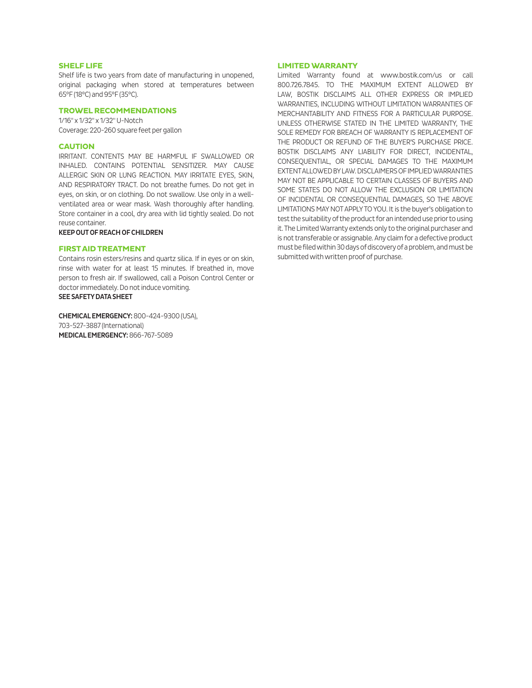# **SHELF LIFE**

Shelf life is two years from date of manufacturing in unopened, original packaging when stored at temperatures between 65°F (18°C) and 95°F (35°C).

# **TROWEL RECOMMENDATIONS**

1/16" x 1/32" x 1/32" U-Notch Coverage: 220-260 square feet per gallon

#### **CAUTION**

IRRITANT. CONTENTS MAY BE HARMFUL IF SWALLOWED OR INHALED. CONTAINS POTENTIAL SENSITIZER. MAY CAUSE ALLERGIC SKIN OR LUNG REACTION. MAY IRRITATE EYES, SKIN, AND RESPIRATORY TRACT. Do not breathe fumes. Do not get in eyes, on skin, or on clothing. Do not swallow. Use only in a wellventilated area or wear mask. Wash thoroughly after handling. Store container in a cool, dry area with lid tightly sealed. Do not reuse container.

#### KEEP OUT OF REACH OF CHILDREN

#### **FIRST AID TREATMENT**

Contains rosin esters/resins and quartz silica. If in eyes or on skin, rinse with water for at least 15 minutes. If breathed in, move person to fresh air. If swallowed, call a Poison Control Center or doctor immediately. Do not induce vomiting. SEE SAFETY DATA SHEET

CHEMICAL EMERGENCY: 800-424-9300 (USA), 703-527-3887 (International) MEDICAL EMERGENCY: 866-767-5089

#### **LIMITED WARRANTY**

Limited Warranty found at www.bostik.com/us or call 800.726.7845. TO THE MAXIMUM EXTENT ALLOWED BY LAW, BOSTIK DISCLAIMS ALL OTHER EXPRESS OR IMPLIED WARRANTIES, INCLUDING WITHOUT LIMITATION WARRANTIES OF MERCHANTABILITY AND FITNESS FOR A PARTICULAR PURPOSE. UNLESS OTHERWISE STATED IN THE LIMITED WARRANTY, THE SOLE REMEDY FOR BREACH OF WARRANTY IS REPLACEMENT OF THE PRODUCT OR REFUND OF THE BUYER'S PURCHASE PRICE. BOSTIK DISCLAIMS ANY LIABILITY FOR DIRECT, INCIDENTAL, CONSEQUENTIAL, OR SPECIAL DAMAGES TO THE MAXIMUM EXTENT ALLOWED BY LAW. DISCLAIMERS OF IMPLIED WARRANTIES MAY NOT BE APPLICABLE TO CERTAIN CLASSES OF BUYERS AND SOME STATES DO NOT ALLOW THE EXCLUSION OR LIMITATION OF INCIDENTAL OR CONSEQUENTIAL DAMAGES, SO THE ABOVE LIMITATIONS MAY NOT APPLY TO YOU. It is the buyer's obligation to test the suitability of the product for an intended use prior to using it. The Limited Warranty extends only to the original purchaser and is not transferable or assignable. Any claim for a defective product must be filed within 30 days of discovery of a problem, and must be submitted with written proof of purchase.